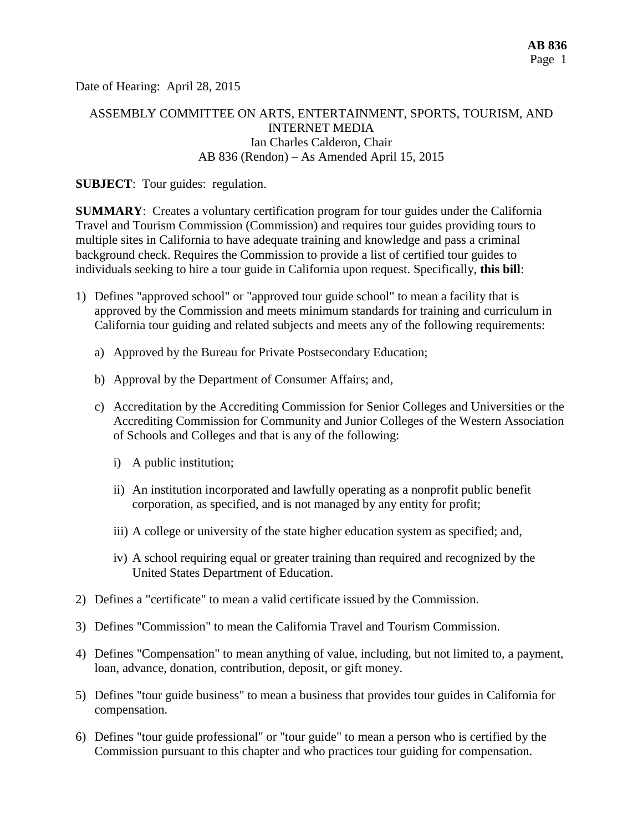Date of Hearing: April 28, 2015

## ASSEMBLY COMMITTEE ON ARTS, ENTERTAINMENT, SPORTS, TOURISM, AND INTERNET MEDIA Ian Charles Calderon, Chair AB 836 (Rendon) – As Amended April 15, 2015

#### **SUBJECT:** Tour guides: regulation.

**SUMMARY**: Creates a voluntary certification program for tour guides under the California Travel and Tourism Commission (Commission) and requires tour guides providing tours to multiple sites in California to have adequate training and knowledge and pass a criminal background check. Requires the Commission to provide a list of certified tour guides to individuals seeking to hire a tour guide in California upon request. Specifically, **this bill**:

- 1) Defines "approved school" or "approved tour guide school" to mean a facility that is approved by the Commission and meets minimum standards for training and curriculum in California tour guiding and related subjects and meets any of the following requirements:
	- a) Approved by the Bureau for Private Postsecondary Education;
	- b) Approval by the Department of Consumer Affairs; and,
	- c) Accreditation by the Accrediting Commission for Senior Colleges and Universities or the Accrediting Commission for Community and Junior Colleges of the Western Association of Schools and Colleges and that is any of the following:
		- i) A public institution;
		- ii) An institution incorporated and lawfully operating as a nonprofit public benefit corporation, as specified, and is not managed by any entity for profit;
		- iii) A college or university of the state higher education system as specified; and,
		- iv) A school requiring equal or greater training than required and recognized by the United States Department of Education.
- 2) Defines a "certificate" to mean a valid certificate issued by the Commission.
- 3) Defines "Commission" to mean the California Travel and Tourism Commission.
- 4) Defines "Compensation" to mean anything of value, including, but not limited to, a payment, loan, advance, donation, contribution, deposit, or gift money.
- 5) Defines "tour guide business" to mean a business that provides tour guides in California for compensation.
- 6) Defines "tour guide professional" or "tour guide" to mean a person who is certified by the Commission pursuant to this chapter and who practices tour guiding for compensation.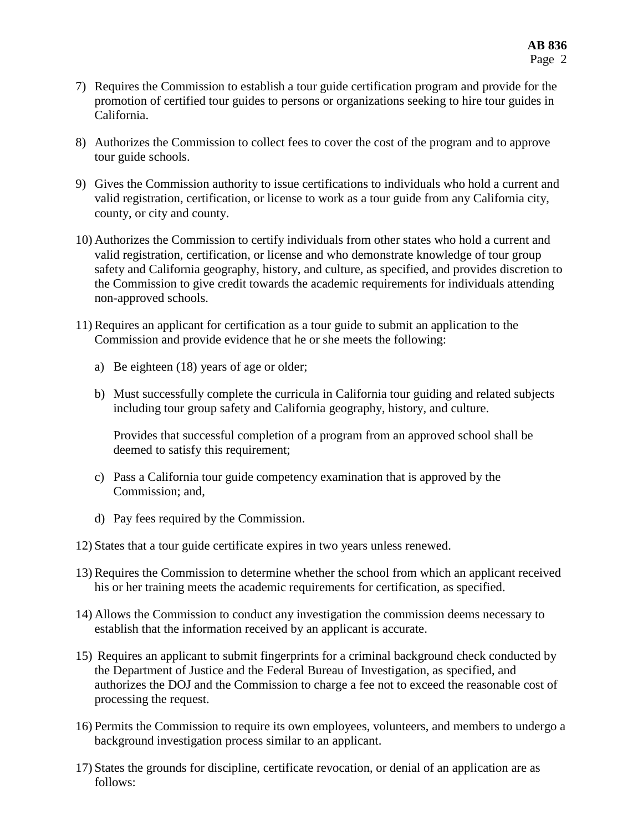- 7) Requires the Commission to establish a tour guide certification program and provide for the promotion of certified tour guides to persons or organizations seeking to hire tour guides in California.
- 8) Authorizes the Commission to collect fees to cover the cost of the program and to approve tour guide schools.
- 9) Gives the Commission authority to issue certifications to individuals who hold a current and valid registration, certification, or license to work as a tour guide from any California city, county, or city and county.
- 10) Authorizes the Commission to certify individuals from other states who hold a current and valid registration, certification, or license and who demonstrate knowledge of tour group safety and California geography, history, and culture, as specified, and provides discretion to the Commission to give credit towards the academic requirements for individuals attending non-approved schools.
- 11) Requires an applicant for certification as a tour guide to submit an application to the Commission and provide evidence that he or she meets the following:
	- a) Be eighteen (18) years of age or older;
	- b) Must successfully complete the curricula in California tour guiding and related subjects including tour group safety and California geography, history, and culture.

Provides that successful completion of a program from an approved school shall be deemed to satisfy this requirement;

- c) Pass a California tour guide competency examination that is approved by the Commission; and,
- d) Pay fees required by the Commission.
- 12) States that a tour guide certificate expires in two years unless renewed.
- 13) Requires the Commission to determine whether the school from which an applicant received his or her training meets the academic requirements for certification, as specified.
- 14) Allows the Commission to conduct any investigation the commission deems necessary to establish that the information received by an applicant is accurate.
- 15) Requires an applicant to submit fingerprints for a criminal background check conducted by the Department of Justice and the Federal Bureau of Investigation, as specified, and authorizes the DOJ and the Commission to charge a fee not to exceed the reasonable cost of processing the request.
- 16) Permits the Commission to require its own employees, volunteers, and members to undergo a background investigation process similar to an applicant.
- 17) States the grounds for discipline, certificate revocation, or denial of an application are as follows: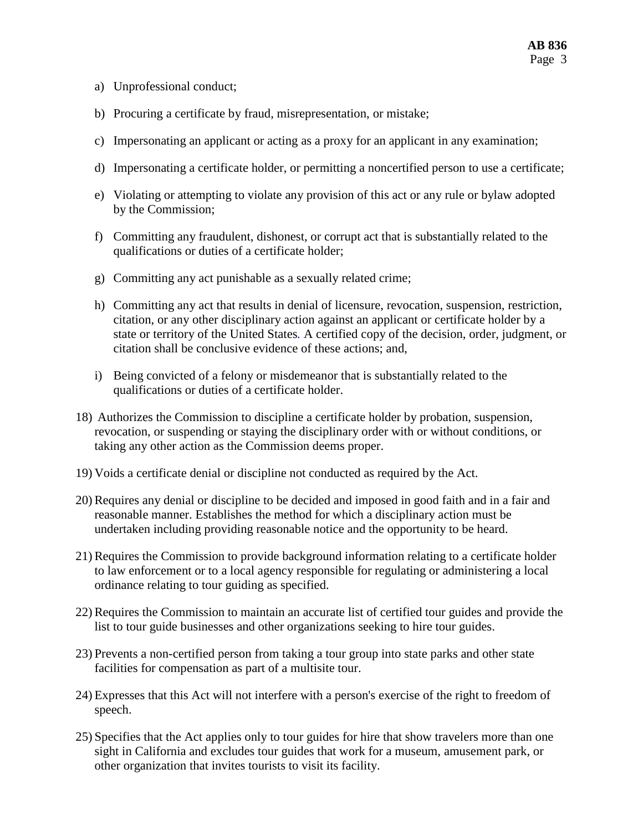- a) Unprofessional conduct;
- b) Procuring a certificate by fraud, misrepresentation, or mistake;
- c) Impersonating an applicant or acting as a proxy for an applicant in any examination;
- d) Impersonating a certificate holder, or permitting a noncertified person to use a certificate;
- e) Violating or attempting to violate any provision of this act or any rule or bylaw adopted by the Commission;
- f) Committing any fraudulent, dishonest, or corrupt act that is substantially related to the qualifications or duties of a certificate holder;
- g) Committing any act punishable as a sexually related crime;
- h) Committing any act that results in denial of licensure, revocation, suspension, restriction, citation, or any other disciplinary action against an applicant or certificate holder by a state or territory of the United States*.* A certified copy of the decision, order, judgment, or citation shall be conclusive evidence of these actions; and,
- i) Being convicted of a felony or misdemeanor that is substantially related to the qualifications or duties of a certificate holder.
- 18) Authorizes the Commission to discipline a certificate holder by probation, suspension, revocation, or suspending or staying the disciplinary order with or without conditions, or taking any other action as the Commission deems proper.
- 19) Voids a certificate denial or discipline not conducted as required by the Act.
- 20) Requires any denial or discipline to be decided and imposed in good faith and in a fair and reasonable manner. Establishes the method for which a disciplinary action must be undertaken including providing reasonable notice and the opportunity to be heard.
- 21) Requires the Commission to provide background information relating to a certificate holder to law enforcement or to a local agency responsible for regulating or administering a local ordinance relating to tour guiding as specified.
- 22) Requires the Commission to maintain an accurate list of certified tour guides and provide the list to tour guide businesses and other organizations seeking to hire tour guides.
- 23) Prevents a non-certified person from taking a tour group into state parks and other state facilities for compensation as part of a multisite tour.
- 24) Expresses that this Act will not interfere with a person's exercise of the right to freedom of speech.
- 25) Specifies that the Act applies only to tour guides for hire that show travelers more than one sight in California and excludes tour guides that work for a museum, amusement park, or other organization that invites tourists to visit its facility.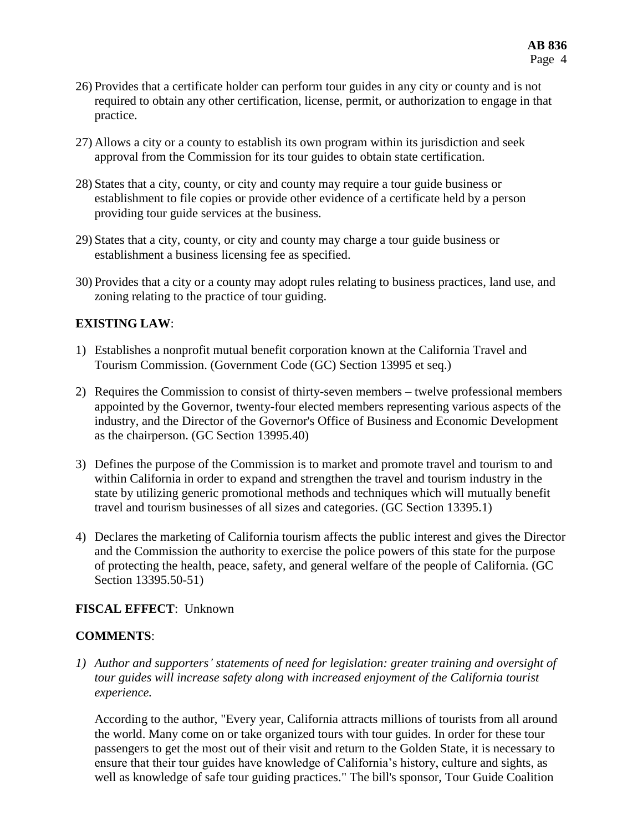- 26) Provides that a certificate holder can perform tour guides in any city or county and is not required to obtain any other certification, license, permit, or authorization to engage in that practice.
- 27) Allows a city or a county to establish its own program within its jurisdiction and seek approval from the Commission for its tour guides to obtain state certification.
- 28) States that a city, county, or city and county may require a tour guide business or establishment to file copies or provide other evidence of a certificate held by a person providing tour guide services at the business.
- 29) States that a city, county, or city and county may charge a tour guide business or establishment a business licensing fee as specified.
- 30) Provides that a city or a county may adopt rules relating to business practices, land use, and zoning relating to the practice of tour guiding.

## **EXISTING LAW**:

- 1) Establishes a nonprofit mutual benefit corporation known at the California Travel and Tourism Commission. (Government Code (GC) Section 13995 et seq.)
- 2) Requires the Commission to consist of thirty-seven members twelve professional members appointed by the Governor, twenty-four elected members representing various aspects of the industry, and the Director of the Governor's Office of Business and Economic Development as the chairperson. (GC Section 13995.40)
- 3) Defines the purpose of the Commission is to market and promote travel and tourism to and within California in order to expand and strengthen the travel and tourism industry in the state by utilizing generic promotional methods and techniques which will mutually benefit travel and tourism businesses of all sizes and categories. (GC Section 13395.1)
- 4) Declares the marketing of California tourism affects the public interest and gives the Director and the Commission the authority to exercise the police powers of this state for the purpose of protecting the health, peace, safety, and general welfare of the people of California. (GC Section 13395.50-51)

## **FISCAL EFFECT**: Unknown

## **COMMENTS**:

*1) Author and supporters' statements of need for legislation: greater training and oversight of tour guides will increase safety along with increased enjoyment of the California tourist experience.*

According to the author, "Every year, California attracts millions of tourists from all around the world. Many come on or take organized tours with tour guides. In order for these tour passengers to get the most out of their visit and return to the Golden State, it is necessary to ensure that their tour guides have knowledge of California's history, culture and sights, as well as knowledge of safe tour guiding practices." The bill's sponsor, Tour Guide Coalition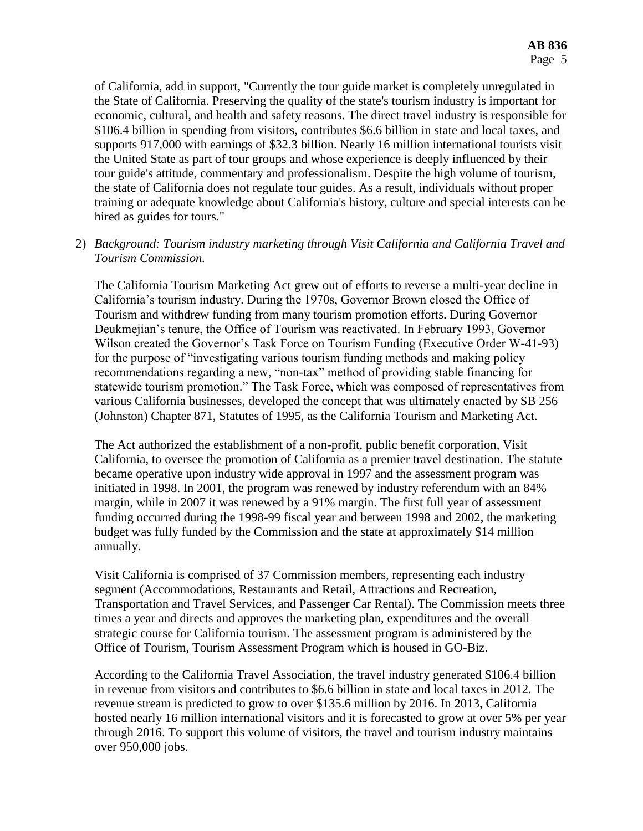of California, add in support, "Currently the tour guide market is completely unregulated in the State of California. Preserving the quality of the state's tourism industry is important for economic, cultural, and health and safety reasons. The direct travel industry is responsible for \$106.4 billion in spending from visitors, contributes \$6.6 billion in state and local taxes, and supports 917,000 with earnings of \$32.3 billion. Nearly 16 million international tourists visit the United State as part of tour groups and whose experience is deeply influenced by their tour guide's attitude, commentary and professionalism. Despite the high volume of tourism, the state of California does not regulate tour guides. As a result, individuals without proper training or adequate knowledge about California's history, culture and special interests can be hired as guides for tours."

# 2) *Background: Tourism industry marketing through Visit California and California Travel and Tourism Commission.*

The California Tourism Marketing Act grew out of efforts to reverse a multi-year decline in California's tourism industry. During the 1970s, Governor Brown closed the Office of Tourism and withdrew funding from many tourism promotion efforts. During Governor Deukmejian's tenure, the Office of Tourism was reactivated. In February 1993, Governor Wilson created the Governor's Task Force on Tourism Funding (Executive Order W-41-93) for the purpose of "investigating various tourism funding methods and making policy recommendations regarding a new, "non-tax" method of providing stable financing for statewide tourism promotion." The Task Force, which was composed of representatives from various California businesses, developed the concept that was ultimately enacted by SB 256 (Johnston) Chapter 871, Statutes of 1995, as the California Tourism and Marketing Act.

The Act authorized the establishment of a non-profit, public benefit corporation, Visit California, to oversee the promotion of California as a premier travel destination. The statute became operative upon industry wide approval in 1997 and the assessment program was initiated in 1998. In 2001, the program was renewed by industry referendum with an 84% margin, while in 2007 it was renewed by a 91% margin. The first full year of assessment funding occurred during the 1998-99 fiscal year and between 1998 and 2002, the marketing budget was fully funded by the Commission and the state at approximately \$14 million annually.

Visit California is comprised of 37 Commission members, representing each industry segment (Accommodations, Restaurants and Retail, Attractions and Recreation, Transportation and Travel Services, and Passenger Car Rental). The Commission meets three times a year and directs and approves the marketing plan, expenditures and the overall strategic course for California tourism. The assessment program is administered by the Office of Tourism, Tourism Assessment Program which is housed in GO-Biz.

According to the California Travel Association, the travel industry generated \$106.4 billion in revenue from visitors and contributes to \$6.6 billion in state and local taxes in 2012. The revenue stream is predicted to grow to over \$135.6 million by 2016. In 2013, California hosted nearly 16 million international visitors and it is forecasted to grow at over 5% per year through 2016. To support this volume of visitors, the travel and tourism industry maintains over 950,000 jobs.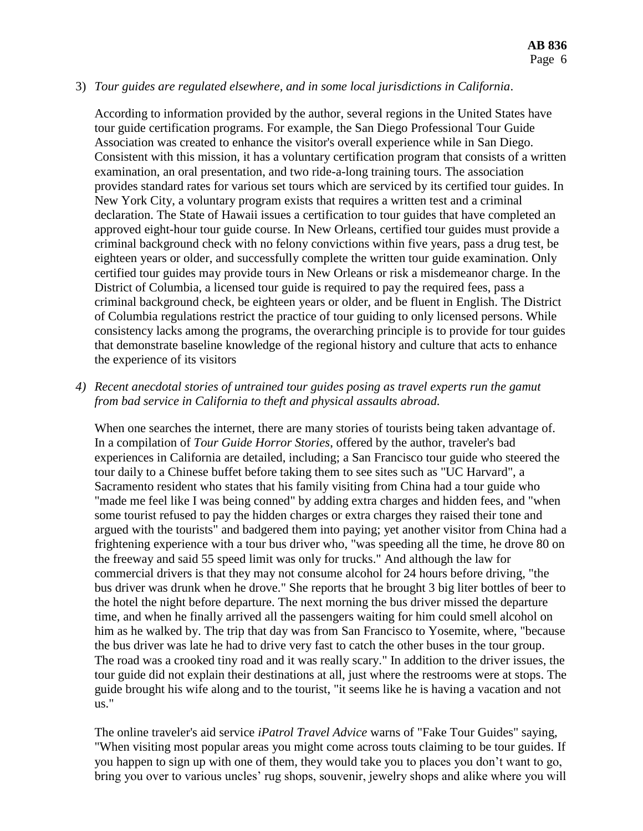#### 3) *Tour guides are regulated elsewhere, and in some local jurisdictions in California*.

According to information provided by the author, several regions in the United States have tour guide certification programs. For example, the San Diego Professional Tour Guide Association was created to enhance the visitor's overall experience while in San Diego. Consistent with this mission, it has a voluntary certification program that consists of a written examination, an oral presentation, and two ride-a-long training tours. The association provides standard rates for various set tours which are serviced by its certified tour guides. In New York City, a voluntary program exists that requires a written test and a criminal declaration. The State of Hawaii issues a certification to tour guides that have completed an approved eight-hour tour guide course. In New Orleans, certified tour guides must provide a criminal background check with no felony convictions within five years, pass a drug test, be eighteen years or older, and successfully complete the written tour guide examination. Only certified tour guides may provide tours in New Orleans or risk a misdemeanor charge. In the District of Columbia, a licensed tour guide is required to pay the required fees, pass a criminal background check, be eighteen years or older, and be fluent in English. The District of Columbia regulations restrict the practice of tour guiding to only licensed persons. While consistency lacks among the programs, the overarching principle is to provide for tour guides that demonstrate baseline knowledge of the regional history and culture that acts to enhance the experience of its visitors

*4) Recent anecdotal stories of untrained tour guides posing as travel experts run the gamut from bad service in California to theft and physical assaults abroad.*

When one searches the internet, there are many stories of tourists being taken advantage of. In a compilation of *Tour Guide Horror Stories*, offered by the author, traveler's bad experiences in California are detailed, including; a San Francisco tour guide who steered the tour daily to a Chinese buffet before taking them to see sites such as "UC Harvard", a Sacramento resident who states that his family visiting from China had a tour guide who "made me feel like I was being conned" by adding extra charges and hidden fees, and "when some tourist refused to pay the hidden charges or extra charges they raised their tone and argued with the tourists" and badgered them into paying; yet another visitor from China had a frightening experience with a tour bus driver who, "was speeding all the time, he drove 80 on the freeway and said 55 speed limit was only for trucks." And although the law for commercial drivers is that they may not consume alcohol for 24 hours before driving, "the bus driver was drunk when he drove." She reports that he brought 3 big liter bottles of beer to the hotel the night before departure. The next morning the bus driver missed the departure time, and when he finally arrived all the passengers waiting for him could smell alcohol on him as he walked by. The trip that day was from San Francisco to Yosemite, where, "because the bus driver was late he had to drive very fast to catch the other buses in the tour group. The road was a crooked tiny road and it was really scary." In addition to the driver issues, the tour guide did not explain their destinations at all, just where the restrooms were at stops. The guide brought his wife along and to the tourist, "it seems like he is having a vacation and not us."

The online traveler's aid service *iPatrol Travel Advice* warns of "Fake Tour Guides" saying, "When visiting most popular areas you might come across touts claiming to be tour guides. If you happen to sign up with one of them, they would take you to places you don't want to go, bring you over to various uncles' rug shops, souvenir, jewelry shops and alike where you will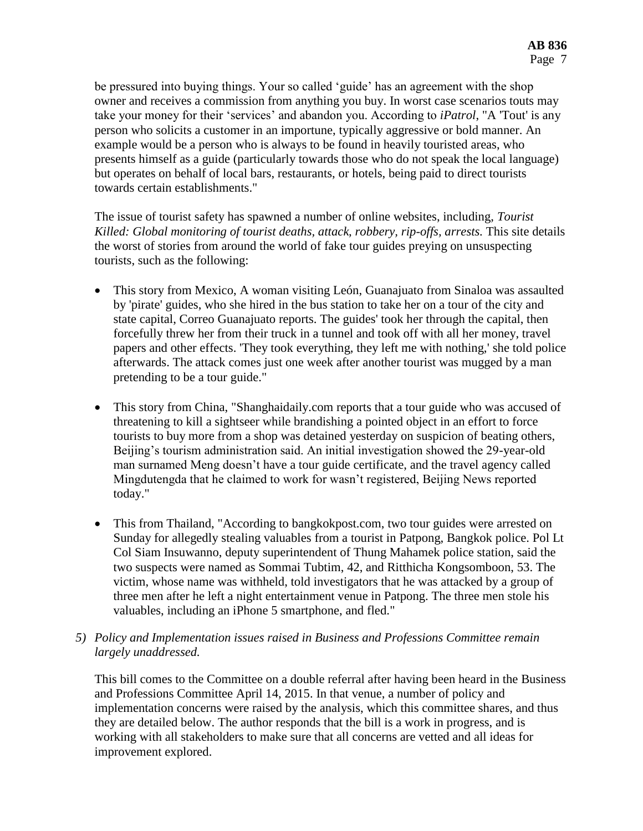be pressured into buying things. Your so called 'guide' has an agreement with the shop owner and receives a commission from anything you buy. In worst case scenarios touts may take your money for their 'services' and abandon you. According to *iPatrol*, "A 'Tout' is any person who solicits a customer in an importune, typically aggressive or bold manner. An example would be a person who is always to be found in heavily touristed areas, who presents himself as a guide (particularly towards those who do not speak the local language) but operates on behalf of local bars, restaurants, or hotels, being paid to direct tourists towards certain establishments."

The issue of tourist safety has spawned a number of online websites, including, *Tourist Killed: Global monitoring of tourist deaths, attack, robbery, rip-offs, arrests.* This site details the worst of stories from around the world of fake tour guides preying on unsuspecting tourists, such as the following:

- This story from Mexico, A woman visiting León, Guanajuato from Sinaloa was assaulted by 'pirate' guides, who she hired in the bus station to take her on a tour of the city and state capital, Correo Guanajuato reports. The guides' took her through the capital, then forcefully threw her from their truck in a tunnel and took off with all her money, travel papers and other effects. 'They took everything, they left me with nothing,' she told police afterwards. The attack comes just one week after another tourist was mugged by a man pretending to be a tour guide."
- This story from China, "Shanghaidaily.com reports that a tour guide who was accused of threatening to kill a sightseer while brandishing a pointed object in an effort to force tourists to buy more from a shop was detained yesterday on suspicion of beating others, Beijing's tourism administration said. An initial investigation showed the 29-year-old man surnamed Meng doesn't have a tour guide certificate, and the travel agency called Mingdutengda that he claimed to work for wasn't registered, Beijing News reported today."
- This from Thailand, "According to bangkokpost.com, two tour guides were arrested on Sunday for allegedly stealing valuables from a tourist in Patpong, Bangkok police. Pol Lt Col Siam Insuwanno, deputy superintendent of Thung Mahamek police station, said the two suspects were named as Sommai Tubtim, 42, and Ritthicha Kongsomboon, 53. The victim, whose name was withheld, told investigators that he was attacked by a group of three men after he left a night entertainment venue in Patpong. The three men stole his valuables, including an iPhone 5 smartphone, and fled."
- *5) Policy and Implementation issues raised in Business and Professions Committee remain largely unaddressed.*

This bill comes to the Committee on a double referral after having been heard in the Business and Professions Committee April 14, 2015. In that venue, a number of policy and implementation concerns were raised by the analysis, which this committee shares, and thus they are detailed below. The author responds that the bill is a work in progress, and is working with all stakeholders to make sure that all concerns are vetted and all ideas for improvement explored.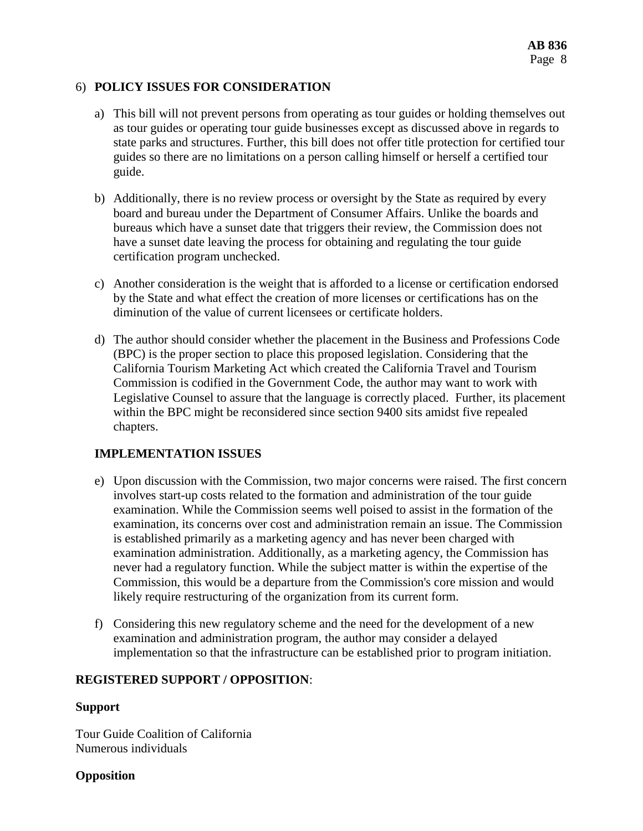## 6) **POLICY ISSUES FOR CONSIDERATION**

- a) This bill will not prevent persons from operating as tour guides or holding themselves out as tour guides or operating tour guide businesses except as discussed above in regards to state parks and structures. Further, this bill does not offer title protection for certified tour guides so there are no limitations on a person calling himself or herself a certified tour guide.
- b) Additionally, there is no review process or oversight by the State as required by every board and bureau under the Department of Consumer Affairs. Unlike the boards and bureaus which have a sunset date that triggers their review, the Commission does not have a sunset date leaving the process for obtaining and regulating the tour guide certification program unchecked.
- c) Another consideration is the weight that is afforded to a license or certification endorsed by the State and what effect the creation of more licenses or certifications has on the diminution of the value of current licensees or certificate holders.
- d) The author should consider whether the placement in the Business and Professions Code (BPC) is the proper section to place this proposed legislation. Considering that the California Tourism Marketing Act which created the California Travel and Tourism Commission is codified in the Government Code, the author may want to work with Legislative Counsel to assure that the language is correctly placed. Further, its placement within the BPC might be reconsidered since section 9400 sits amidst five repealed chapters.

## **IMPLEMENTATION ISSUES**

- e) Upon discussion with the Commission, two major concerns were raised. The first concern involves start-up costs related to the formation and administration of the tour guide examination. While the Commission seems well poised to assist in the formation of the examination, its concerns over cost and administration remain an issue. The Commission is established primarily as a marketing agency and has never been charged with examination administration. Additionally, as a marketing agency, the Commission has never had a regulatory function. While the subject matter is within the expertise of the Commission, this would be a departure from the Commission's core mission and would likely require restructuring of the organization from its current form.
- f) Considering this new regulatory scheme and the need for the development of a new examination and administration program, the author may consider a delayed implementation so that the infrastructure can be established prior to program initiation.

## **REGISTERED SUPPORT / OPPOSITION**:

## **Support**

Tour Guide Coalition of California Numerous individuals

## **Opposition**